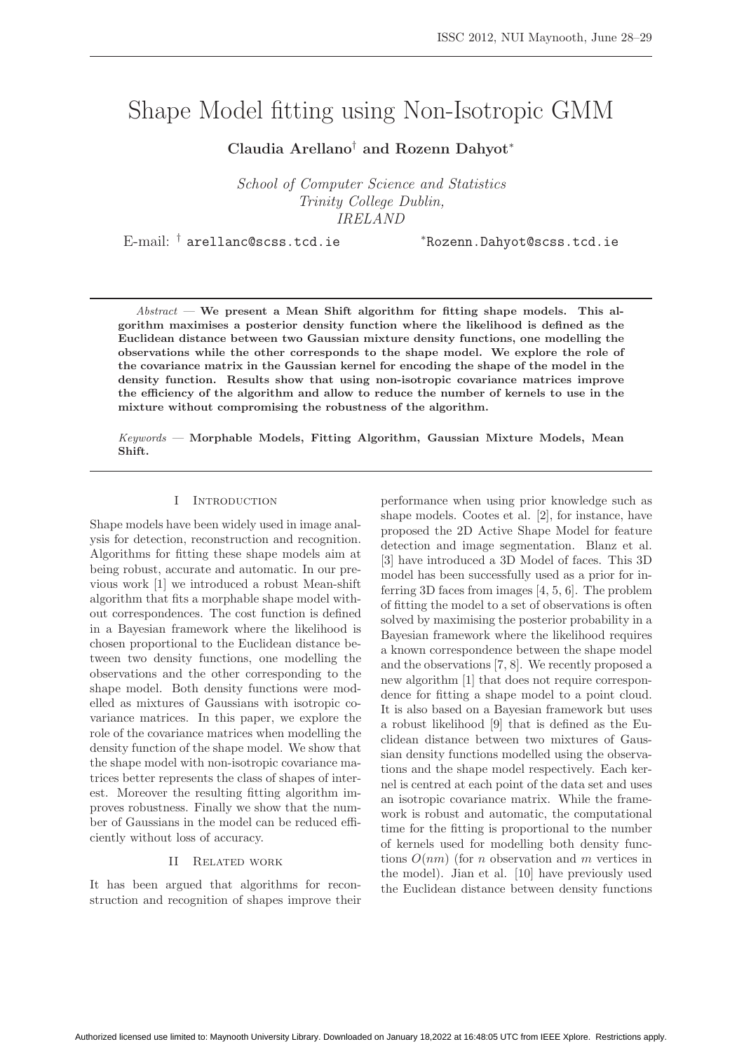# Shape Model fitting using Non-Isotropic GMM

**Claudia Arellano**† **and Rozenn Dahyot**<sup>∗</sup>

School of Computer Science and Statistics Trinity College Dublin, IRELAND

E-mail: † arellanc@scss.tcd.ie <sup>∗</sup>Rozenn.Dahyot@scss.tcd.ie

Abstract — **We present a Mean Shift algorithm for fitting shape models. This algorithm maximises a posterior density function where the likelihood is defined as the Euclidean distance between two Gaussian mixture density functions, one modelling the observations while the other corresponds to the shape model. We explore the role of the covariance matrix in the Gaussian kernel for encoding the shape of the model in the density function. Results show that using non-isotropic covariance matrices improve the efficiency of the algorithm and allow to reduce the number of kernels to use in the mixture without compromising the robustness of the algorithm.**

Keywords — **Morphable Models, Fitting Algorithm, Gaussian Mixture Models, Mean Shift.**

## I Introduction

Shape models have been widely used in image analysis for detection, reconstruction and recognition. Algorithms for fitting these shape models aim at being robust, accurate and automatic. In our previous work [1] we introduced a robust Mean-shift algorithm that fits a morphable shape model without correspondences. The cost function is defined in a Bayesian framework where the likelihood is chosen proportional to the Euclidean distance between two density functions, one modelling the observations and the other corresponding to the shape model. Both density functions were modelled as mixtures of Gaussians with isotropic covariance matrices. In this paper, we explore the role of the covariance matrices when modelling the density function of the shape model. We show that the shape model with non-isotropic covariance matrices better represents the class of shapes of interest. Moreover the resulting fitting algorithm improves robustness. Finally we show that the number of Gaussians in the model can be reduced efficiently without loss of accuracy.

## II Related work

It has been argued that algorithms for reconstruction and recognition of shapes improve their performance when using prior knowledge such as shape models. Cootes et al. [2], for instance, have proposed the 2D Active Shape Model for feature detection and image segmentation. Blanz et al. [3] have introduced a 3D Model of faces. This 3D model has been successfully used as a prior for inferring 3D faces from images [4, 5, 6]. The problem of fitting the model to a set of observations is often solved by maximising the posterior probability in a Bayesian framework where the likelihood requires a known correspondence between the shape model and the observations [7, 8]. We recently proposed a new algorithm [1] that does not require correspondence for fitting a shape model to a point cloud. It is also based on a Bayesian framework but uses a robust likelihood [9] that is defined as the Euclidean distance between two mixtures of Gaussian density functions modelled using the observations and the shape model respectively. Each kernel is centred at each point of the data set and uses an isotropic covariance matrix. While the framework is robust and automatic, the computational time for the fitting is proportional to the number of kernels used for modelling both density functions  $O(nm)$  (for *n* observation and *m* vertices in the model). Jian et al. [10] have previously used the Euclidean distance between density functions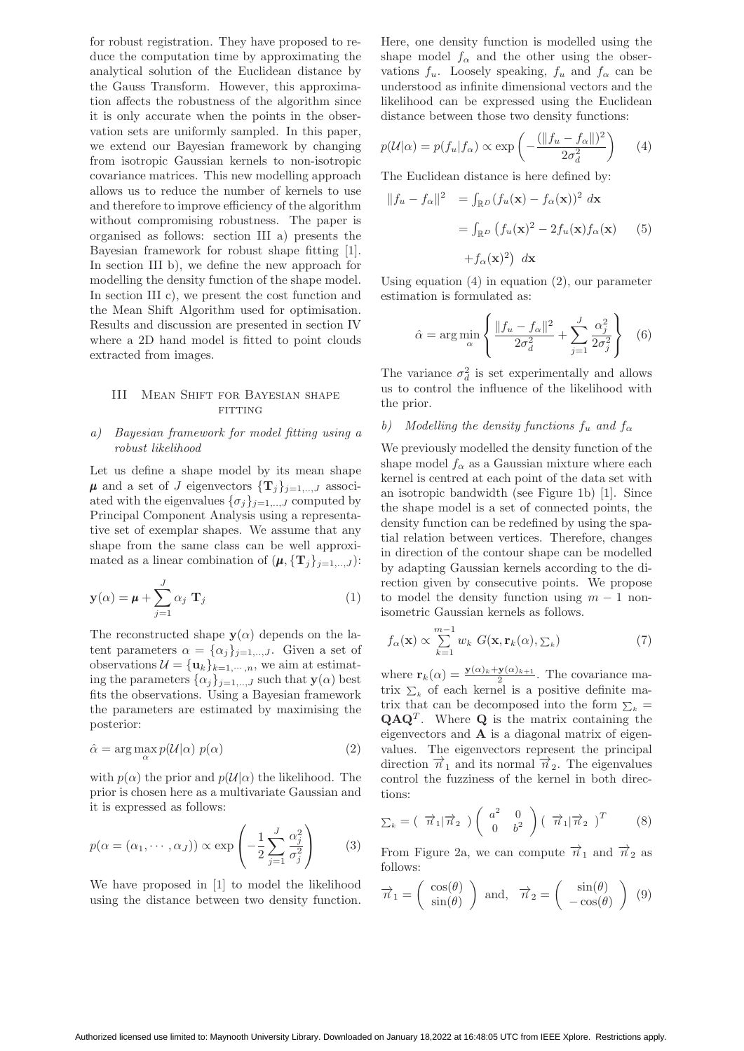for robust registration. They have proposed to reduce the computation time by approximating the analytical solution of the Euclidean distance by the Gauss Transform. However, this approximation affects the robustness of the algorithm since it is only accurate when the points in the observation sets are uniformly sampled. In this paper, we extend our Bayesian framework by changing from isotropic Gaussian kernels to non-isotropic covariance matrices. This new modelling approach allows us to reduce the number of kernels to use and therefore to improve efficiency of the algorithm without compromising robustness. The paper is organised as follows: section III a) presents the Bayesian framework for robust shape fitting [1]. In section III b), we define the new approach for modelling the density function of the shape model. In section III c), we present the cost function and the Mean Shift Algorithm used for optimisation. Results and discussion are presented in section IV where a 2D hand model is fitted to point clouds extracted from images.

## III Mean Shift for Bayesian shape FITTING

## a) Bayesian framework for model fitting using a robust likelihood

Let us define a shape model by its mean shape  $\mu$  and a set of J eigenvectors  $\{\mathbf{T}_i\}_{i=1,\dots,J}$  associated with the eigenvalues  $\{\sigma_j\}_{j=1,..,J}$  computed by Principal Component Analysis using a representative set of exemplar shapes. We assume that any shape from the same class can be well approximated as a linear combination of  $(\boldsymbol{\mu}, {\{\mathbf{T}_j\}}_{j=1,..,J})$ :

$$
\mathbf{y}(\alpha) = \boldsymbol{\mu} + \sum_{j=1}^{J} \alpha_j \mathbf{T}_j
$$
 (1)

The reconstructed shape  $y(\alpha)$  depends on the latent parameters  $\alpha = {\alpha_j}_{j=1,..,J}$ . Given a set of observations  $\mathcal{U} = {\mathbf{u}_k}_{k=1,\dots,n}$ , we aim at estimating the parameters  $\{\alpha_j\}_{j=1,\dots,J}$  such that  $\mathbf{y}(\alpha)$  best fits the observations. Using a Bayesian framework the parameters are estimated by maximising the posterior:

$$
\hat{\alpha} = \arg \max_{\alpha} p(\mathcal{U}|\alpha) \ p(\alpha) \tag{2}
$$

with  $p(\alpha)$  the prior and  $p(\mathcal{U}|\alpha)$  the likelihood. The prior is chosen here as a multivariate Gaussian and it is expressed as follows:

$$
p(\alpha = (\alpha_1, \cdots, \alpha_J)) \propto \exp\left(-\frac{1}{2} \sum_{j=1}^{J} \frac{\alpha_j^2}{\sigma_j^2}\right) \qquad (3)
$$

We have proposed in [1] to model the likelihood using the distance between two density function.

Here, one density function is modelled using the shape model  $f_{\alpha}$  and the other using the observations  $f_u$ . Loosely speaking,  $f_u$  and  $f_\alpha$  can be understood as infinite dimensional vectors and the likelihood can be expressed using the Euclidean distance between those two density functions:

$$
p(\mathcal{U}|\alpha) = p(f_u|f_\alpha) \propto \exp\left(-\frac{(\|f_u - f_\alpha\|)^2}{2\sigma_d^2}\right) \tag{4}
$$

The Euclidean distance is here defined by:

$$
||f_u - f_\alpha||^2 = \int_{\mathbb{R}^D} (f_u(\mathbf{x}) - f_\alpha(\mathbf{x}))^2 d\mathbf{x}
$$
  
= 
$$
\int_{\mathbb{R}^D} (f_u(\mathbf{x})^2 - 2f_u(\mathbf{x})f_\alpha(\mathbf{x})
$$
 (5)  
+
$$
f_\alpha(\mathbf{x})^2) d\mathbf{x}
$$

Using equation (4) in equation (2), our parameter estimation is formulated as:

$$
\hat{\alpha} = \arg\min_{\alpha} \left\{ \frac{\|f_u - f_{\alpha}\|^2}{2\sigma_d^2} + \sum_{j=1}^J \frac{\alpha_j^2}{2\sigma_j^2} \right\} \quad (6)
$$

The variance  $\sigma_d^2$  is set experimentally and allows us to control the influence of the likelihood with the prior.

# b) Modelling the density functions  $f_u$  and  $f_\alpha$

We previously modelled the density function of the shape model  $f_{\alpha}$  as a Gaussian mixture where each kernel is centred at each point of the data set with an isotropic bandwidth (see Figure 1b) [1]. Since the shape model is a set of connected points, the density function can be redefined by using the spatial relation between vertices. Therefore, changes in direction of the contour shape can be modelled by adapting Gaussian kernels according to the direction given by consecutive points. We propose to model the density function using  $m - 1$  nonisometric Gaussian kernels as follows.

$$
f_{\alpha}(\mathbf{x}) \propto \sum_{k=1}^{m-1} w_k \ G(\mathbf{x}, \mathbf{r}_k(\alpha), \Sigma_k)
$$
 (7)

where  $\mathbf{r}_k(\alpha) = \frac{\mathbf{y}(\alpha)_{k} + \mathbf{y}(\alpha)_{k+1}}{2}$ . The covariance matrix  $\Sigma_k$  of each kernel is a positive definite matrix that can be decomposed into the form  $\Sigma_k =$  $\mathbf{Q} \mathbf{A} \mathbf{Q}^T$ . Where **Q** is the matrix containing the eigenvectors and **A** is a diagonal matrix of eigenvalues. The eigenvectors represent the principal direction  $\vec{n}_1$  and its normal  $\vec{n}_2$ . The eigenvalues control the fuzziness of the kernel in both directions:

$$
\Sigma_k = \begin{pmatrix} \overrightarrow{n}_1 | \overrightarrow{n}_2 \end{pmatrix} \begin{pmatrix} a^2 & 0 \\ 0 & b^2 \end{pmatrix} \begin{pmatrix} \overrightarrow{n}_1 | \overrightarrow{n}_2 \end{pmatrix}^T \tag{8}
$$

From Figure 2a, we can compute  $\vec{n}_1$  and  $\vec{n}_2$  as follows:

$$
\vec{n}_1 = \begin{pmatrix} \cos(\theta) \\ \sin(\theta) \end{pmatrix} \text{ and, } \vec{n}_2 = \begin{pmatrix} \sin(\theta) \\ -\cos(\theta) \end{pmatrix} (9)
$$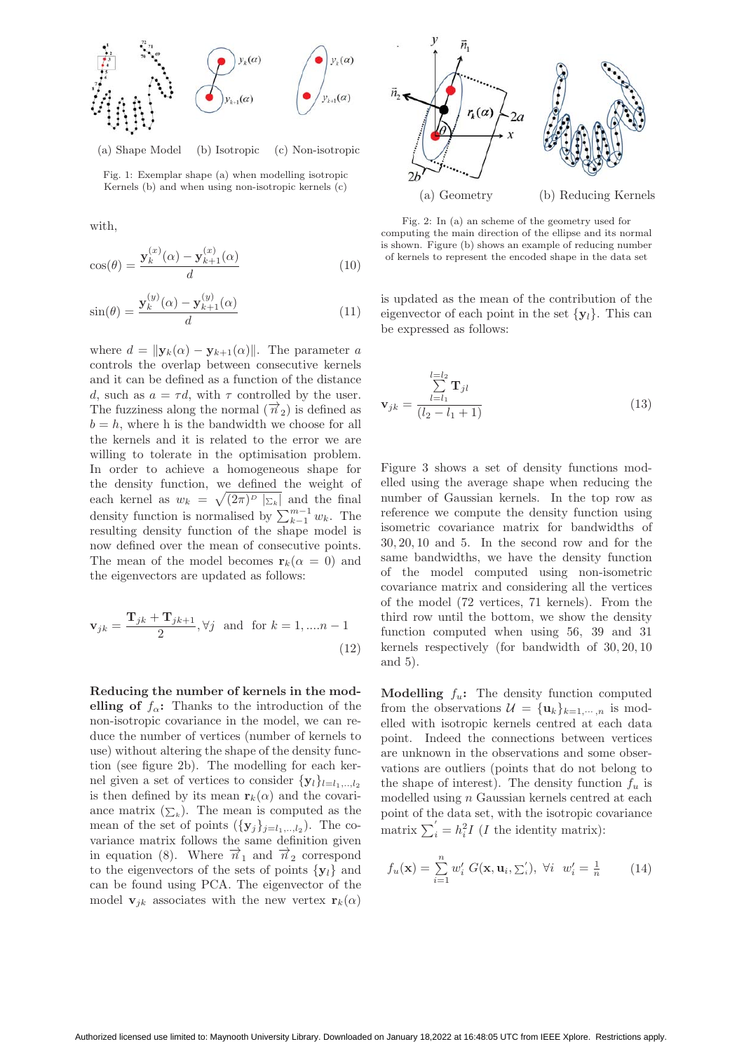

(a) Shape Model (b) Isotropic (c) Non-isotropic

Fig. 1: Exemplar shape (a) when modelling isotropic Kernels (b) and when using non-isotropic kernels (c)

with,

$$
\cos(\theta) = \frac{\mathbf{y}_k^{(x)}(\alpha) - \mathbf{y}_{k+1}^{(x)}(\alpha)}{d}
$$
\n(10)

$$
\sin(\theta) = \frac{\mathbf{y}_k^{(y)}(\alpha) - \mathbf{y}_{k+1}^{(y)}(\alpha)}{d} \tag{11}
$$

where  $d = ||\mathbf{y}_k(\alpha) - \mathbf{y}_{k+1}(\alpha)||$ . The parameter a controls the overlap between consecutive kernels and it can be defined as a function of the distance d, such as  $a = \tau d$ , with  $\tau$  controlled by the user. The fuzziness along the normal  $(\vec{n}_2)$  is defined as  $b = h$ , where h is the bandwidth we choose for all the kernels and it is related to the error we are willing to tolerate in the optimisation problem. In order to achieve a homogeneous shape for the density function, we defined the weight of each kernel as  $w_k = \sqrt{(2\pi)^p |\Sigma_k|}$  and the final density function is normalised by  $\sum_{k-1}^{m-1} w_k$ . The resulting density function of the shape model is now defined over the mean of consecutive points. The mean of the model becomes  $\mathbf{r}_k(\alpha = 0)$  and the eigenvectors are updated as follows:

$$
\mathbf{v}_{jk} = \frac{\mathbf{T}_{jk} + \mathbf{T}_{jk+1}}{2}, \forall j \text{ and for } k = 1, \dots n - 1
$$
\n(12)

**Reducing the number of kernels in the modelling of**  $f_\alpha$ : Thanks to the introduction of the non-isotropic covariance in the model, we can reduce the number of vertices (number of kernels to use) without altering the shape of the density function (see figure 2b). The modelling for each kernel given a set of vertices to consider  $\{y_l\}_{l=l_1,..,l_2}$ is then defined by its mean  $\mathbf{r}_k(\alpha)$  and the covariance matrix  $(\sum_k)$ . The mean is computed as the mean of the set of points  $({\bf y}_i)_{i=1,\ldots,l_2}$ ). The covariance matrix follows the same definition given in equation (8). Where  $\vec{n}_1$  and  $\vec{n}_2$  correspond to the eigenvectors of the sets of points  $\{y_l\}$  and can be found using PCA. The eigenvector of the model **v**<sub>jk</sub> associates with the new vertex **r**<sub>k</sub>( $\alpha$ )



Fig. 2: In (a) an scheme of the geometry used for computing the main direction of the ellipse and its normal is shown. Figure (b) shows an example of reducing number of kernels to represent the encoded shape in the data set

is updated as the mean of the contribution of the eigenvector of each point in the set  $\{y_l\}$ . This can be expressed as follows:

$$
\mathbf{v}_{jk} = \frac{\sum_{l=l_1}^{l=l_2} \mathbf{T}_{jl}}{(l_2 - l_1 + 1)}
$$
(13)

Figure 3 shows a set of density functions modelled using the average shape when reducing the number of Gaussian kernels. In the top row as reference we compute the density function using isometric covariance matrix for bandwidths of 30, 20, 10 and 5. In the second row and for the same bandwidths, we have the density function of the model computed using non-isometric covariance matrix and considering all the vertices of the model (72 vertices, 71 kernels). From the third row until the bottom, we show the density function computed when using 56, 39 and 31 kernels respectively (for bandwidth of 30, 20, 10 and 5).

**Modelling**  $f_u$ : The density function computed from the observations  $\mathcal{U} = {\mathbf{u}_k}_{k=1,\dots,n}$  is modelled with isotropic kernels centred at each data point. Indeed the connections between vertices are unknown in the observations and some observations are outliers (points that do not belong to the shape of interest). The density function  $f_u$  is modelled using  $n$  Gaussian kernels centred at each point of the data set, with the isotropic covariance matrix  $\sum_{i}^{'} = h_i^2 I$  (*I* the identity matrix):

$$
f_u(\mathbf{x}) = \sum_{i=1}^n w'_i \ G(\mathbf{x}, \mathbf{u}_i, \Sigma'_i), \ \forall i \ w'_i = \frac{1}{n} \tag{14}
$$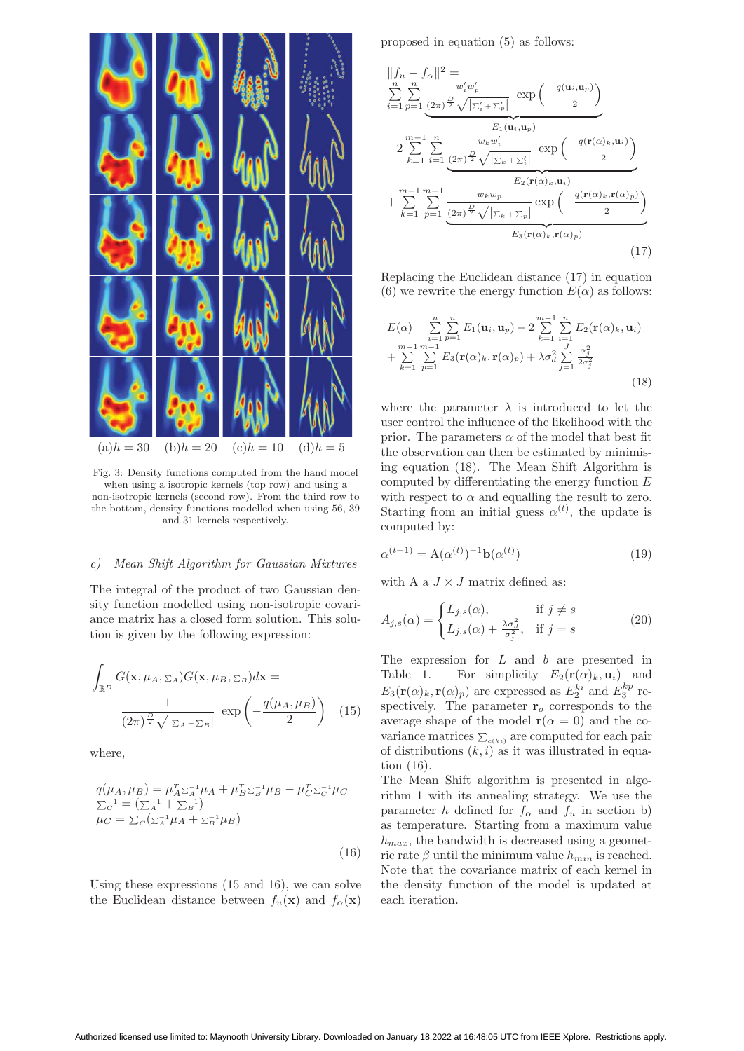

Fig. 3: Density functions computed from the hand model when using a isotropic kernels (top row) and using a non-isotropic kernels (second row). From the third row to the bottom, density functions modelled when using 56, 39 and 31 kernels respectively.

#### c) Mean Shift Algorithm for Gaussian Mixtures

The integral of the product of two Gaussian density function modelled using non-isotropic covariance matrix has a closed form solution. This solution is given by the following expression:

$$
\int_{\mathbb{R}^D} G(\mathbf{x}, \mu_A, \Sigma_A) G(\mathbf{x}, \mu_B, \Sigma_B) d\mathbf{x} =
$$
\n
$$
\frac{1}{(2\pi)^{\frac{D}{2}} \sqrt{|\Sigma_A + \Sigma_B|}} \exp\left(-\frac{q(\mu_A, \mu_B)}{2}\right) (15)
$$

where,

$$
q(\mu_A, \mu_B) = \mu_A^T \Sigma_A^{-1} \mu_A + \mu_B^T \Sigma_B^{-1} \mu_B - \mu_C^T \Sigma_C^{-1} \mu_C
$$
  
\n
$$
\Sigma_C^{-1} = (\Sigma_A^{-1} + \Sigma_B^{-1})
$$
  
\n
$$
\mu_C = \Sigma_C (\Sigma_A^{-1} \mu_A + \Sigma_B^{-1} \mu_B)
$$
  
\n(16)

Using these expressions (15 and 16), we can solve the Euclidean distance between  $f_u(\mathbf{x})$  and  $f_\alpha(\mathbf{x})$ 

proposed in equation (5) as follows:

$$
||f_u - f_{\alpha}||^2 = \sum_{i=1}^n \sum_{p=1}^n \frac{w_i' w_p'}{(2\pi)^{\frac{p}{2}} \sqrt{|\Sigma_i' + \Sigma_p'|}} \exp\left(-\frac{q(\mathbf{u}_i, \mathbf{u}_p)}{2}\right)
$$
  

$$
-2 \sum_{k=1}^n \sum_{i=1}^n \frac{w_k w_i'}{(2\pi)^{\frac{p}{2}} \sqrt{|\Sigma_k + \Sigma_i'|}} \exp\left(-\frac{q(\mathbf{r}(\alpha)_k, \mathbf{u}_i)}{2}\right)
$$
  

$$
+ \sum_{k=1}^{m-1} \sum_{p=1}^{m-1} \frac{w_k w_p}{(2\pi)^{\frac{p}{2}} \sqrt{|\Sigma_k + \Sigma_p|}} \exp\left(-\frac{q(\mathbf{r}(\alpha)_k, \mathbf{r}(\alpha)_p)}{2}\right)
$$
  

$$
E_3(\mathbf{r}(\alpha)_k, \mathbf{r}(\alpha)_p)
$$
 (17)

Replacing the Euclidean distance (17) in equation (6) we rewrite the energy function  $E(\alpha)$  as follows:

$$
E(\alpha) = \sum_{i=1}^{n} \sum_{p=1}^{n} E_1(\mathbf{u}_i, \mathbf{u}_p) - 2 \sum_{k=1}^{m-1} \sum_{i=1}^{n} E_2(\mathbf{r}(\alpha)_k, \mathbf{u}_i) + \sum_{k=1}^{m-1} \sum_{p=1}^{m-1} E_3(\mathbf{r}(\alpha)_k, \mathbf{r}(\alpha)_p) + \lambda \sigma_d^2 \sum_{j=1}^{J} \frac{\alpha_j^2}{2 \sigma_j^2}
$$
(18)

where the parameter  $\lambda$  is introduced to let the user control the influence of the likelihood with the prior. The parameters  $\alpha$  of the model that best fit the observation can then be estimated by minimising equation (18). The Mean Shift Algorithm is computed by differentiating the energy function E with respect to  $\alpha$  and equalling the result to zero. Starting from an initial guess  $\alpha^{(t)}$ , the update is computed by:

$$
\alpha^{(t+1)} = A(\alpha^{(t)})^{-1} \mathbf{b}(\alpha^{(t)}) \tag{19}
$$

with A a  $J \times J$  matrix defined as:

$$
A_{j,s}(\alpha) = \begin{cases} L_{j,s}(\alpha), & \text{if } j \neq s \\ L_{j,s}(\alpha) + \frac{\lambda \sigma_d^2}{\sigma_j^2}, & \text{if } j = s \end{cases}
$$
 (20)

The expression for L and b are presented in Table 1. For simplicity  $E_2(\mathbf{r}(\alpha)_k, \mathbf{u}_i)$  and  $E_3(\mathbf{r}(\alpha)_k, \mathbf{r}(\alpha)_p)$  are expressed as  $E_2^{ki}$  and  $E_3^{kp}$  respectively. The parameter  $\mathbf{r}_o$  corresponds to the average shape of the model  $\mathbf{r}(\alpha = 0)$  and the covariance matrices  $\sum_{c(ki)}$  are computed for each pair of distributions  $(k, i)$  as it was illustrated in equation (16).

The Mean Shift algorithm is presented in algorithm 1 with its annealing strategy. We use the parameter h defined for  $f_{\alpha}$  and  $f_u$  in section b) as temperature. Starting from a maximum value  $h_{max}$ , the bandwidth is decreased using a geometric rate  $\beta$  until the minimum value  $h_{min}$  is reached. Note that the covariance matrix of each kernel in the density function of the model is updated at each iteration.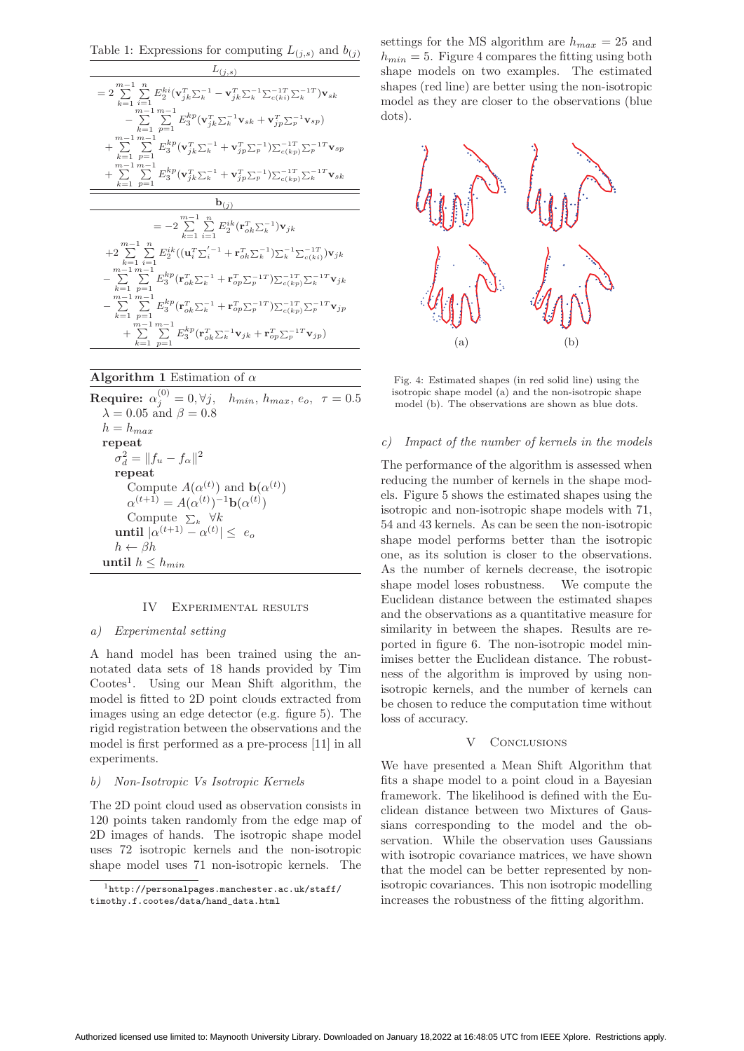Table 1: Expressions for computing  $L_{(i,s)}$  and  $b_{(i)}$ 



## **Algorithm 1** Estimation of  $\alpha$

 $\textbf{Required:}~~\alpha_j^{(0)}=0, \forall j,~~~h_{min},~h_{max},~e_o,~~\tau=0.5$  $\lambda = 0.05$  and  $\beta = 0.8$  $h = h_{max}$ **repeat**  $\sigma_d^2 = ||f_u - f_\alpha||^2$ **repeat** Compute  $A(\alpha^{(t)})$  and  $\mathbf{b}(\alpha^{(t)})$  $\alpha^{(t+1)} = A(\alpha^{(t)})^{-1}b(\alpha^{(t)})$ Compute  $\Sigma_k$   $\forall k$ **until**  $|\alpha^{(t+1)} - \alpha^{(t)}| \leq e_o$  $h \leftarrow \beta h$ **until**  $h \leq h_{min}$ 

## IV Experimental results

## a) Experimental setting

A hand model has been trained using the annotated data sets of 18 hands provided by Tim Cootes<sup>1</sup>. Using our Mean Shift algorithm, the model is fitted to 2D point clouds extracted from images using an edge detector (e.g. figure 5). The rigid registration between the observations and the model is first performed as a pre-process [11] in all experiments.

## b) Non-Isotropic Vs Isotropic Kernels

The 2D point cloud used as observation consists in 120 points taken randomly from the edge map of 2D images of hands. The isotropic shape model uses 72 isotropic kernels and the non-isotropic shape model uses 71 non-isotropic kernels. The

settings for the MS algorithm are  $h_{max} = 25$  and  $h_{min} = 5$ . Figure 4 compares the fitting using both shape models on two examples. The estimated shapes (red line) are better using the non-isotropic model as they are closer to the observations (blue dots).



Fig. 4: Estimated shapes (in red solid line) using the isotropic shape model (a) and the non-isotropic shape model (b). The observations are shown as blue dots.

#### c) Impact of the number of kernels in the models

The performance of the algorithm is assessed when reducing the number of kernels in the shape models. Figure 5 shows the estimated shapes using the isotropic and non-isotropic shape models with 71, 54 and 43 kernels. As can be seen the non-isotropic shape model performs better than the isotropic one, as its solution is closer to the observations. As the number of kernels decrease, the isotropic shape model loses robustness. We compute the Euclidean distance between the estimated shapes and the observations as a quantitative measure for similarity in between the shapes. Results are reported in figure 6. The non-isotropic model minimises better the Euclidean distance. The robustness of the algorithm is improved by using nonisotropic kernels, and the number of kernels can be chosen to reduce the computation time without loss of accuracy.

## V CONCLUSIONS

We have presented a Mean Shift Algorithm that fits a shape model to a point cloud in a Bayesian framework. The likelihood is defined with the Euclidean distance between two Mixtures of Gaussians corresponding to the model and the observation. While the observation uses Gaussians with isotropic covariance matrices, we have shown that the model can be better represented by nonisotropic covariances. This non isotropic modelling increases the robustness of the fitting algorithm.

 $1$ http://personalpages.manchester.ac.uk/staff/ timothy.f.cootes/data/hand\_data.html